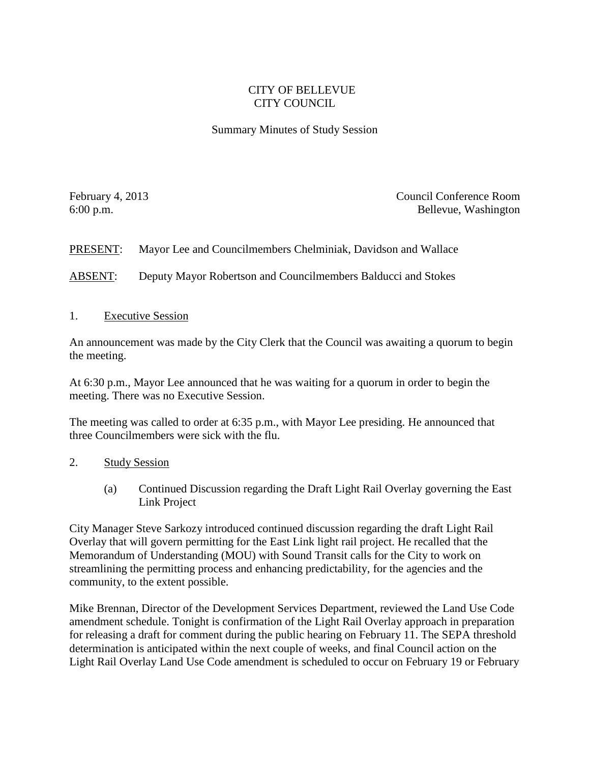## CITY OF BELLEVUE CITY COUNCIL

## Summary Minutes of Study Session

February 4, 2013 Council Conference Room 6:00 p.m. Bellevue, Washington

PRESENT: Mayor Lee and Councilmembers Chelminiak, Davidson and Wallace

ABSENT: Deputy Mayor Robertson and Councilmembers Balducci and Stokes

1. Executive Session

An announcement was made by the City Clerk that the Council was awaiting a quorum to begin the meeting.

At 6:30 p.m., Mayor Lee announced that he was waiting for a quorum in order to begin the meeting. There was no Executive Session.

The meeting was called to order at 6:35 p.m., with Mayor Lee presiding. He announced that three Councilmembers were sick with the flu.

## 2. Study Session

(a) Continued Discussion regarding the Draft Light Rail Overlay governing the East Link Project

City Manager Steve Sarkozy introduced continued discussion regarding the draft Light Rail Overlay that will govern permitting for the East Link light rail project. He recalled that the Memorandum of Understanding (MOU) with Sound Transit calls for the City to work on streamlining the permitting process and enhancing predictability, for the agencies and the community, to the extent possible.

Mike Brennan, Director of the Development Services Department, reviewed the Land Use Code amendment schedule. Tonight is confirmation of the Light Rail Overlay approach in preparation for releasing a draft for comment during the public hearing on February 11. The SEPA threshold determination is anticipated within the next couple of weeks, and final Council action on the Light Rail Overlay Land Use Code amendment is scheduled to occur on February 19 or February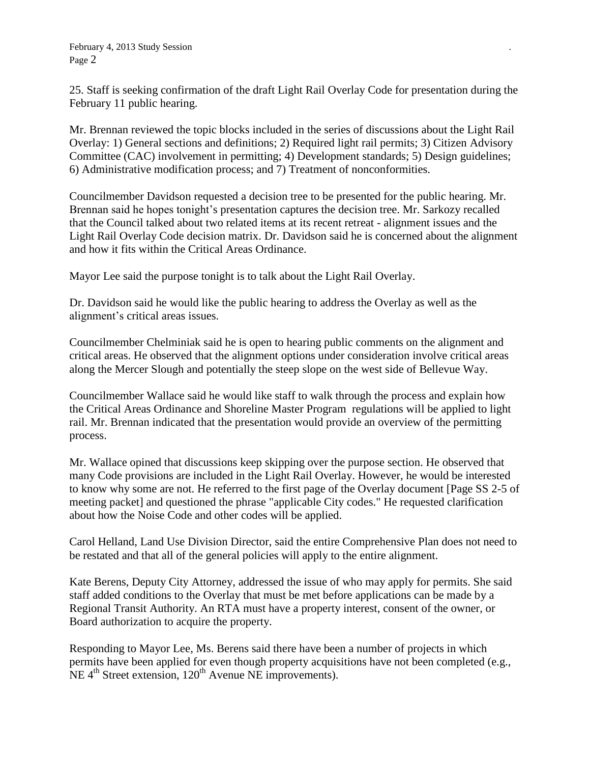25. Staff is seeking confirmation of the draft Light Rail Overlay Code for presentation during the February 11 public hearing.

Mr. Brennan reviewed the topic blocks included in the series of discussions about the Light Rail Overlay: 1) General sections and definitions; 2) Required light rail permits; 3) Citizen Advisory Committee (CAC) involvement in permitting; 4) Development standards; 5) Design guidelines; 6) Administrative modification process; and 7) Treatment of nonconformities.

Councilmember Davidson requested a decision tree to be presented for the public hearing. Mr. Brennan said he hopes tonight's presentation captures the decision tree. Mr. Sarkozy recalled that the Council talked about two related items at its recent retreat - alignment issues and the Light Rail Overlay Code decision matrix. Dr. Davidson said he is concerned about the alignment and how it fits within the Critical Areas Ordinance.

Mayor Lee said the purpose tonight is to talk about the Light Rail Overlay.

Dr. Davidson said he would like the public hearing to address the Overlay as well as the alignment's critical areas issues.

Councilmember Chelminiak said he is open to hearing public comments on the alignment and critical areas. He observed that the alignment options under consideration involve critical areas along the Mercer Slough and potentially the steep slope on the west side of Bellevue Way.

Councilmember Wallace said he would like staff to walk through the process and explain how the Critical Areas Ordinance and Shoreline Master Program regulations will be applied to light rail. Mr. Brennan indicated that the presentation would provide an overview of the permitting process.

Mr. Wallace opined that discussions keep skipping over the purpose section. He observed that many Code provisions are included in the Light Rail Overlay. However, he would be interested to know why some are not. He referred to the first page of the Overlay document [Page SS 2-5 of meeting packet] and questioned the phrase "applicable City codes." He requested clarification about how the Noise Code and other codes will be applied.

Carol Helland, Land Use Division Director, said the entire Comprehensive Plan does not need to be restated and that all of the general policies will apply to the entire alignment.

Kate Berens, Deputy City Attorney, addressed the issue of who may apply for permits. She said staff added conditions to the Overlay that must be met before applications can be made by a Regional Transit Authority. An RTA must have a property interest, consent of the owner, or Board authorization to acquire the property.

Responding to Mayor Lee, Ms. Berens said there have been a number of projects in which permits have been applied for even though property acquisitions have not been completed (e.g.,  $NE 4<sup>th</sup> Street extension, 120<sup>th</sup> Avenue NE improvements$ .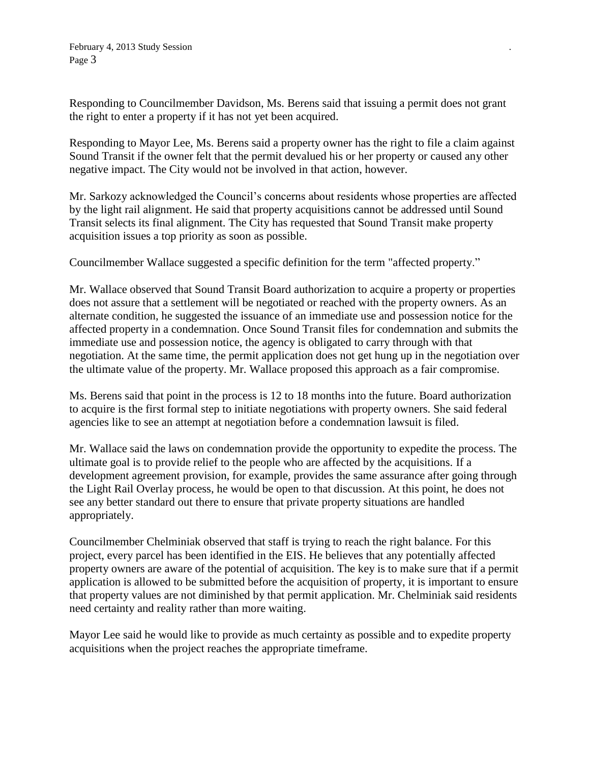Responding to Councilmember Davidson, Ms. Berens said that issuing a permit does not grant the right to enter a property if it has not yet been acquired.

Responding to Mayor Lee, Ms. Berens said a property owner has the right to file a claim against Sound Transit if the owner felt that the permit devalued his or her property or caused any other negative impact. The City would not be involved in that action, however.

Mr. Sarkozy acknowledged the Council's concerns about residents whose properties are affected by the light rail alignment. He said that property acquisitions cannot be addressed until Sound Transit selects its final alignment. The City has requested that Sound Transit make property acquisition issues a top priority as soon as possible.

Councilmember Wallace suggested a specific definition for the term "affected property."

Mr. Wallace observed that Sound Transit Board authorization to acquire a property or properties does not assure that a settlement will be negotiated or reached with the property owners. As an alternate condition, he suggested the issuance of an immediate use and possession notice for the affected property in a condemnation. Once Sound Transit files for condemnation and submits the immediate use and possession notice, the agency is obligated to carry through with that negotiation. At the same time, the permit application does not get hung up in the negotiation over the ultimate value of the property. Mr. Wallace proposed this approach as a fair compromise.

Ms. Berens said that point in the process is 12 to 18 months into the future. Board authorization to acquire is the first formal step to initiate negotiations with property owners. She said federal agencies like to see an attempt at negotiation before a condemnation lawsuit is filed.

Mr. Wallace said the laws on condemnation provide the opportunity to expedite the process. The ultimate goal is to provide relief to the people who are affected by the acquisitions. If a development agreement provision, for example, provides the same assurance after going through the Light Rail Overlay process, he would be open to that discussion. At this point, he does not see any better standard out there to ensure that private property situations are handled appropriately.

Councilmember Chelminiak observed that staff is trying to reach the right balance. For this project, every parcel has been identified in the EIS. He believes that any potentially affected property owners are aware of the potential of acquisition. The key is to make sure that if a permit application is allowed to be submitted before the acquisition of property, it is important to ensure that property values are not diminished by that permit application. Mr. Chelminiak said residents need certainty and reality rather than more waiting.

Mayor Lee said he would like to provide as much certainty as possible and to expedite property acquisitions when the project reaches the appropriate timeframe.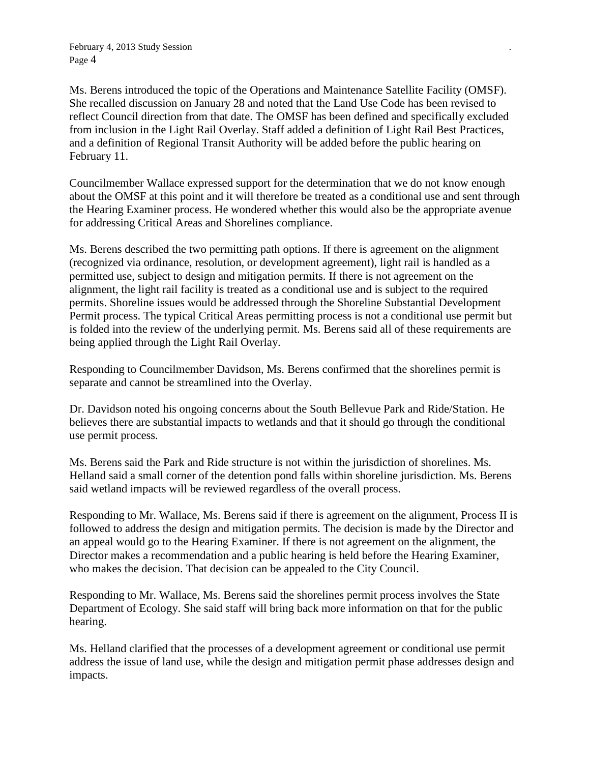February 4, 2013 Study Session *.* Page 4

Ms. Berens introduced the topic of the Operations and Maintenance Satellite Facility (OMSF). She recalled discussion on January 28 and noted that the Land Use Code has been revised to reflect Council direction from that date. The OMSF has been defined and specifically excluded from inclusion in the Light Rail Overlay. Staff added a definition of Light Rail Best Practices, and a definition of Regional Transit Authority will be added before the public hearing on February 11.

Councilmember Wallace expressed support for the determination that we do not know enough about the OMSF at this point and it will therefore be treated as a conditional use and sent through the Hearing Examiner process. He wondered whether this would also be the appropriate avenue for addressing Critical Areas and Shorelines compliance.

Ms. Berens described the two permitting path options. If there is agreement on the alignment (recognized via ordinance, resolution, or development agreement), light rail is handled as a permitted use, subject to design and mitigation permits. If there is not agreement on the alignment, the light rail facility is treated as a conditional use and is subject to the required permits. Shoreline issues would be addressed through the Shoreline Substantial Development Permit process. The typical Critical Areas permitting process is not a conditional use permit but is folded into the review of the underlying permit. Ms. Berens said all of these requirements are being applied through the Light Rail Overlay.

Responding to Councilmember Davidson, Ms. Berens confirmed that the shorelines permit is separate and cannot be streamlined into the Overlay.

Dr. Davidson noted his ongoing concerns about the South Bellevue Park and Ride/Station. He believes there are substantial impacts to wetlands and that it should go through the conditional use permit process.

Ms. Berens said the Park and Ride structure is not within the jurisdiction of shorelines. Ms. Helland said a small corner of the detention pond falls within shoreline jurisdiction. Ms. Berens said wetland impacts will be reviewed regardless of the overall process.

Responding to Mr. Wallace, Ms. Berens said if there is agreement on the alignment, Process II is followed to address the design and mitigation permits. The decision is made by the Director and an appeal would go to the Hearing Examiner. If there is not agreement on the alignment, the Director makes a recommendation and a public hearing is held before the Hearing Examiner, who makes the decision. That decision can be appealed to the City Council.

Responding to Mr. Wallace, Ms. Berens said the shorelines permit process involves the State Department of Ecology. She said staff will bring back more information on that for the public hearing.

Ms. Helland clarified that the processes of a development agreement or conditional use permit address the issue of land use, while the design and mitigation permit phase addresses design and impacts.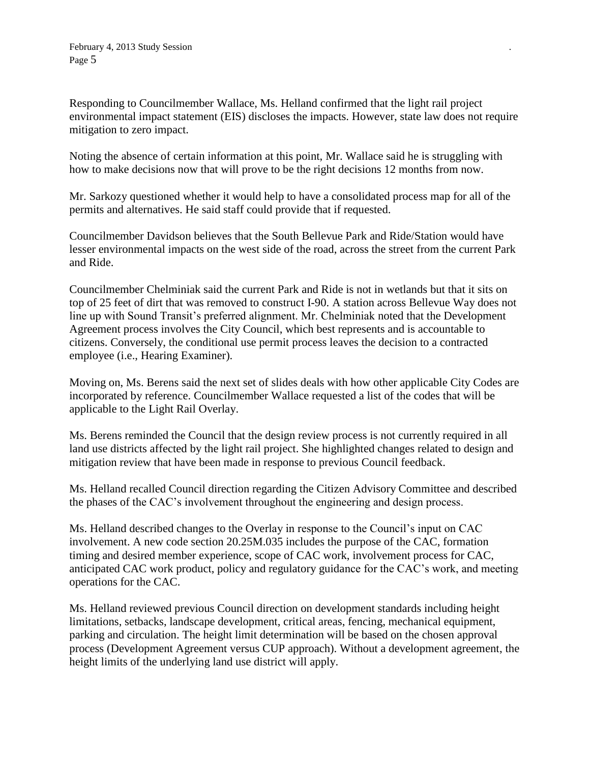Responding to Councilmember Wallace, Ms. Helland confirmed that the light rail project environmental impact statement (EIS) discloses the impacts. However, state law does not require mitigation to zero impact.

Noting the absence of certain information at this point, Mr. Wallace said he is struggling with how to make decisions now that will prove to be the right decisions 12 months from now.

Mr. Sarkozy questioned whether it would help to have a consolidated process map for all of the permits and alternatives. He said staff could provide that if requested.

Councilmember Davidson believes that the South Bellevue Park and Ride/Station would have lesser environmental impacts on the west side of the road, across the street from the current Park and Ride.

Councilmember Chelminiak said the current Park and Ride is not in wetlands but that it sits on top of 25 feet of dirt that was removed to construct I-90. A station across Bellevue Way does not line up with Sound Transit's preferred alignment. Mr. Chelminiak noted that the Development Agreement process involves the City Council, which best represents and is accountable to citizens. Conversely, the conditional use permit process leaves the decision to a contracted employee (i.e., Hearing Examiner).

Moving on, Ms. Berens said the next set of slides deals with how other applicable City Codes are incorporated by reference. Councilmember Wallace requested a list of the codes that will be applicable to the Light Rail Overlay.

Ms. Berens reminded the Council that the design review process is not currently required in all land use districts affected by the light rail project. She highlighted changes related to design and mitigation review that have been made in response to previous Council feedback.

Ms. Helland recalled Council direction regarding the Citizen Advisory Committee and described the phases of the CAC's involvement throughout the engineering and design process.

Ms. Helland described changes to the Overlay in response to the Council's input on CAC involvement. A new code section 20.25M.035 includes the purpose of the CAC, formation timing and desired member experience, scope of CAC work, involvement process for CAC, anticipated CAC work product, policy and regulatory guidance for the CAC's work, and meeting operations for the CAC.

Ms. Helland reviewed previous Council direction on development standards including height limitations, setbacks, landscape development, critical areas, fencing, mechanical equipment, parking and circulation. The height limit determination will be based on the chosen approval process (Development Agreement versus CUP approach). Without a development agreement, the height limits of the underlying land use district will apply.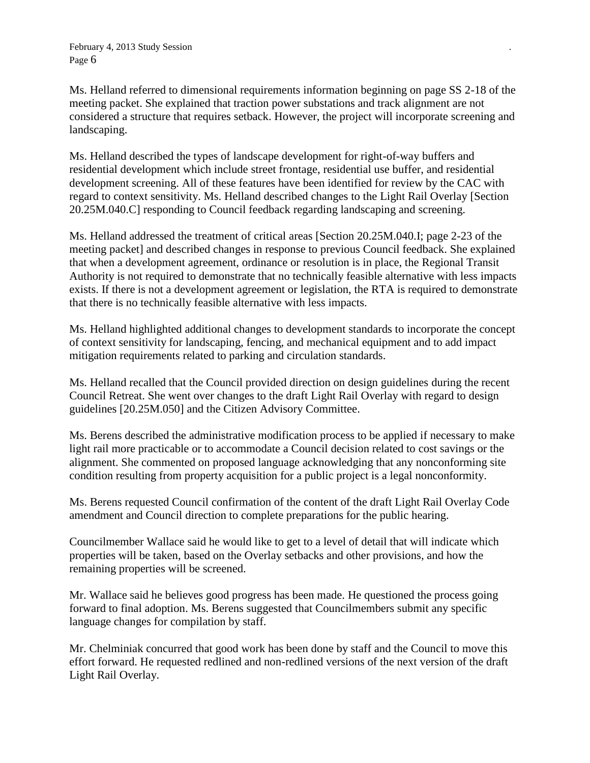Ms. Helland referred to dimensional requirements information beginning on page SS 2-18 of the meeting packet. She explained that traction power substations and track alignment are not considered a structure that requires setback. However, the project will incorporate screening and landscaping.

Ms. Helland described the types of landscape development for right-of-way buffers and residential development which include street frontage, residential use buffer, and residential development screening. All of these features have been identified for review by the CAC with regard to context sensitivity. Ms. Helland described changes to the Light Rail Overlay [Section 20.25M.040.C] responding to Council feedback regarding landscaping and screening.

Ms. Helland addressed the treatment of critical areas [Section 20.25M.040.I; page 2-23 of the meeting packet] and described changes in response to previous Council feedback. She explained that when a development agreement, ordinance or resolution is in place, the Regional Transit Authority is not required to demonstrate that no technically feasible alternative with less impacts exists. If there is not a development agreement or legislation, the RTA is required to demonstrate that there is no technically feasible alternative with less impacts.

Ms. Helland highlighted additional changes to development standards to incorporate the concept of context sensitivity for landscaping, fencing, and mechanical equipment and to add impact mitigation requirements related to parking and circulation standards.

Ms. Helland recalled that the Council provided direction on design guidelines during the recent Council Retreat. She went over changes to the draft Light Rail Overlay with regard to design guidelines [20.25M.050] and the Citizen Advisory Committee.

Ms. Berens described the administrative modification process to be applied if necessary to make light rail more practicable or to accommodate a Council decision related to cost savings or the alignment. She commented on proposed language acknowledging that any nonconforming site condition resulting from property acquisition for a public project is a legal nonconformity.

Ms. Berens requested Council confirmation of the content of the draft Light Rail Overlay Code amendment and Council direction to complete preparations for the public hearing.

Councilmember Wallace said he would like to get to a level of detail that will indicate which properties will be taken, based on the Overlay setbacks and other provisions, and how the remaining properties will be screened.

Mr. Wallace said he believes good progress has been made. He questioned the process going forward to final adoption. Ms. Berens suggested that Councilmembers submit any specific language changes for compilation by staff.

Mr. Chelminiak concurred that good work has been done by staff and the Council to move this effort forward. He requested redlined and non-redlined versions of the next version of the draft Light Rail Overlay.